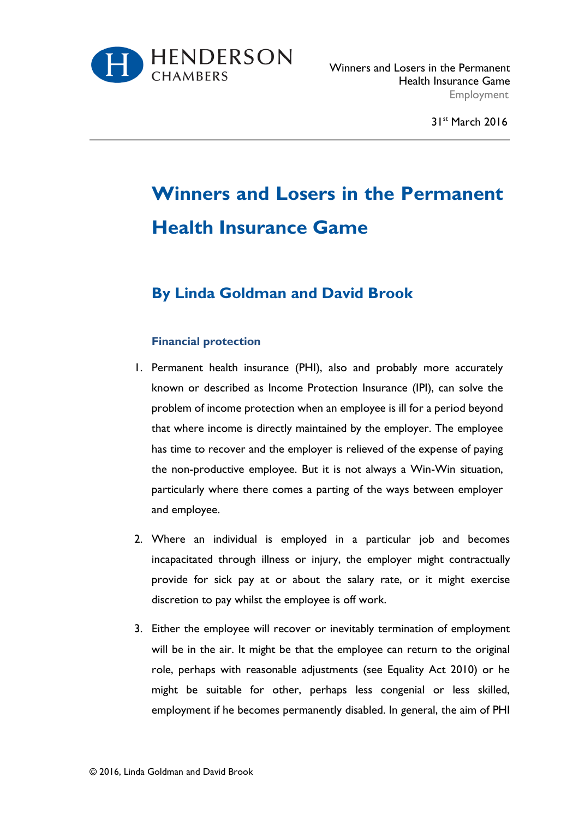

31<sup>st</sup> March 2016

# **Winners and Losers in the Permanent Health Insurance Game**

# **By Linda Goldman and David Brook**

# **Financial protection**

- 1. Permanent health insurance (PHI), also and probably more accurately known or described as Income Protection Insurance (IPI), can solve the problem of income protection when an employee is ill for a period beyond that where income is directly maintained by the employer. The employee has time to recover and the employer is relieved of the expense of paying the non-productive employee. But it is not always a Win-Win situation, particularly where there comes a parting of the ways between employer and employee.
- 2. Where an individual is employed in a particular job and becomes incapacitated through illness or injury, the employer might contractually provide for sick pay at or about the salary rate, or it might exercise discretion to pay whilst the employee is off work.
- 3. Either the employee will recover or inevitably termination of employment will be in the air. It might be that the employee can return to the original role, perhaps with reasonable adjustments (see Equality Act 2010) or he might be suitable for other, perhaps less congenial or less skilled, employment if he becomes permanently disabled. In general, the aim of PHI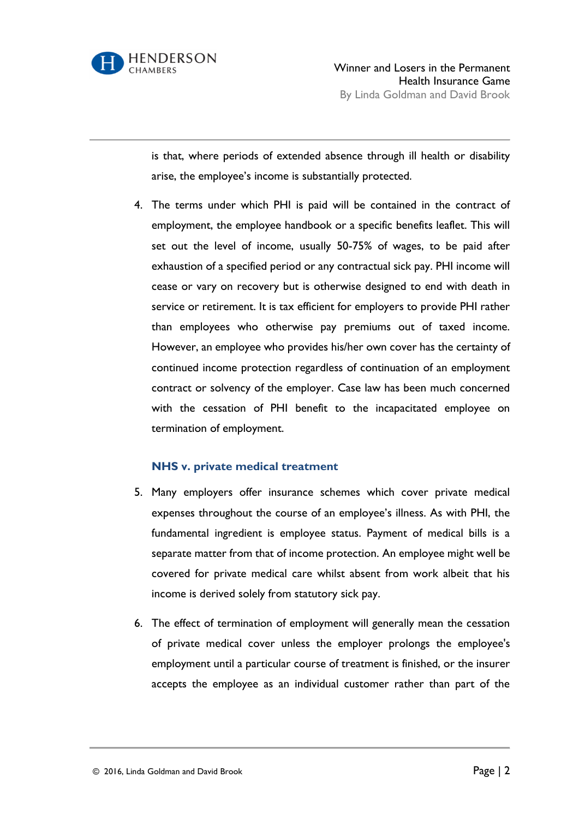

is that, where periods of extended absence through ill health or disability arise, the employee's income is substantially protected.

4. The terms under which PHI is paid will be contained in the contract of employment, the employee handbook or a specific benefits leaflet. This will set out the level of income, usually 50-75% of wages, to be paid after exhaustion of a specified period or any contractual sick pay. PHI income will cease or vary on recovery but is otherwise designed to end with death in service or retirement. It is tax efficient for employers to provide PHI rather than employees who otherwise pay premiums out of taxed income. However, an employee who provides his/her own cover has the certainty of continued income protection regardless of continuation of an employment contract or solvency of the employer. Case law has been much concerned with the cessation of PHI benefit to the incapacitated employee on termination of employment.

# **NHS v. private medical treatment**

- 5. Many employers offer insurance schemes which cover private medical expenses throughout the course of an employee's illness. As with PHI, the fundamental ingredient is employee status. Payment of medical bills is a separate matter from that of income protection. An employee might well be covered for private medical care whilst absent from work albeit that his income is derived solely from statutory sick pay.
- 6. The effect of termination of employment will generally mean the cessation of private medical cover unless the employer prolongs the employee's employment until a particular course of treatment is finished, or the insurer accepts the employee as an individual customer rather than part of the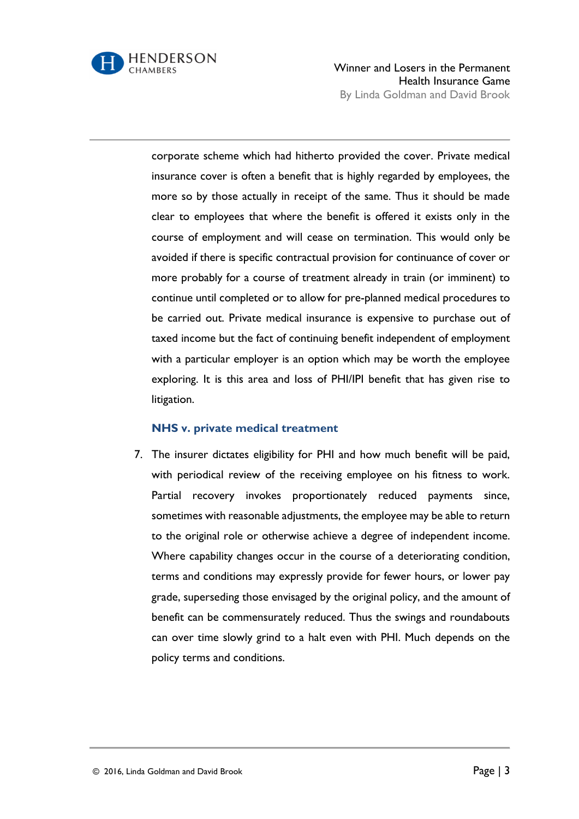

Winner and Losers in the Permanent Health Insurance Game By Linda Goldman and David Brook

corporate scheme which had hitherto provided the cover. Private medical insurance cover is often a benefit that is highly regarded by employees, the more so by those actually in receipt of the same. Thus it should be made clear to employees that where the benefit is offered it exists only in the course of employment and will cease on termination. This would only be avoided if there is specific contractual provision for continuance of cover or more probably for a course of treatment already in train (or imminent) to continue until completed or to allow for pre-planned medical procedures to be carried out. Private medical insurance is expensive to purchase out of taxed income but the fact of continuing benefit independent of employment with a particular employer is an option which may be worth the employee exploring. It is this area and loss of PHI/IPI benefit that has given rise to litigation.

#### **NHS v. private medical treatment**

7. The insurer dictates eligibility for PHI and how much benefit will be paid, with periodical review of the receiving employee on his fitness to work. Partial recovery invokes proportionately reduced payments since, sometimes with reasonable adjustments, the employee may be able to return to the original role or otherwise achieve a degree of independent income. Where capability changes occur in the course of a deteriorating condition, terms and conditions may expressly provide for fewer hours, or lower pay grade, superseding those envisaged by the original policy, and the amount of benefit can be commensurately reduced. Thus the swings and roundabouts can over time slowly grind to a halt even with PHI. Much depends on the policy terms and conditions.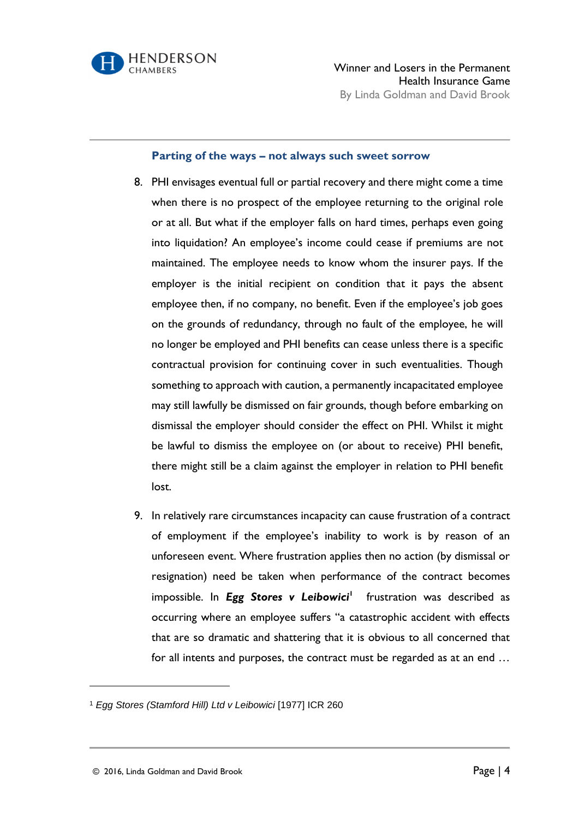

#### **Parting of the ways – not always such sweet sorrow**

- 8. PHI envisages eventual full or partial recovery and there might come a time when there is no prospect of the employee returning to the original role or at all. But what if the employer falls on hard times, perhaps even going into liquidation? An employee's income could cease if premiums are not maintained. The employee needs to know whom the insurer pays. If the employer is the initial recipient on condition that it pays the absent employee then, if no company, no benefit. Even if the employee's job goes on the grounds of redundancy, through no fault of the employee, he will no longer be employed and PHI benefits can cease unless there is a specific contractual provision for continuing cover in such eventualities. Though something to approach with caution, a permanently incapacitated employee may still lawfully be dismissed on fair grounds, though before embarking on dismissal the employer should consider the effect on PHI. Whilst it might be lawful to dismiss the employee on (or about to receive) PHI benefit, there might still be a claim against the employer in relation to PHI benefit lost.
- 9. In relatively rare circumstances incapacity can cause frustration of a contract of employment if the employee's inability to work is by reason of an unforeseen event. Where frustration applies then no action (by dismissal or resignation) need be taken when performance of the contract becomes impossible. In *Egg Stores v Leibowici*<sup>1</sup> frustration was described as occurring where an employee suffers "a catastrophic accident with effects that are so dramatic and shattering that it is obvious to all concerned that for all intents and purposes, the contract must be regarded as at an end …

 $\overline{a}$ 

<sup>1</sup> *Egg Stores (Stamford Hill) Ltd v Leibowici* [1977] ICR 260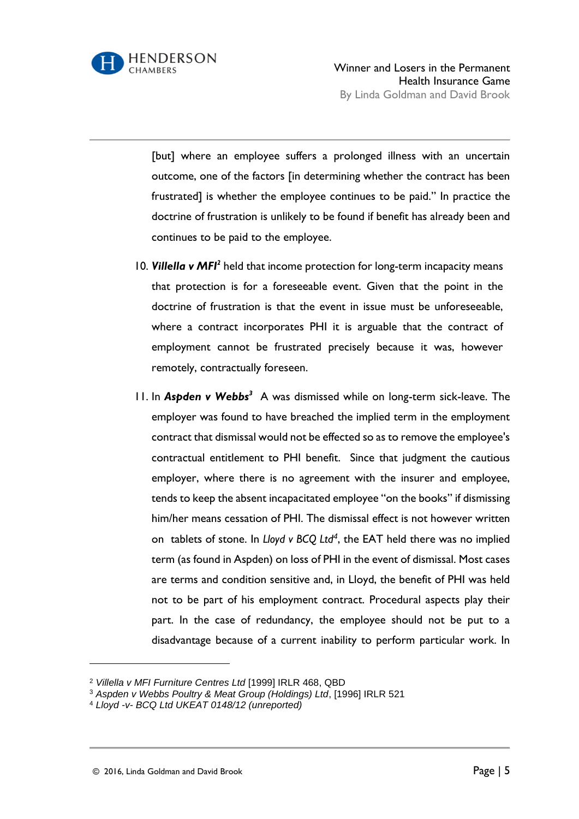

[but] where an employee suffers a prolonged illness with an uncertain outcome, one of the factors [in determining whether the contract has been frustrated] is whether the employee continues to be paid." In practice the doctrine of frustration is unlikely to be found if benefit has already been and continues to be paid to the employee.

- 10. Villella v MFI<sup>2</sup> held that income protection for long-term incapacity means that protection is for a foreseeable event. Given that the point in the doctrine of frustration is that the event in issue must be unforeseeable, where a contract incorporates PHI it is arguable that the contract of employment cannot be frustrated precisely because it was, however remotely, contractually foreseen.
- 11. In *Aspden v Webbs<sup>3</sup>* A was dismissed while on long-term sick-leave. The employer was found to have breached the implied term in the employment contract that dismissal would not be effected so as to remove the employee's contractual entitlement to PHI benefit. Since that judgment the cautious employer, where there is no agreement with the insurer and employee, tends to keep the absent incapacitated employee "on the books" if dismissing him/her means cessation of PHI. The dismissal effect is not however written on tablets of stone. In *Lloyd v BCQ Ltd<sup>4</sup>* , the EAT held there was no implied term (as found in Aspden) on loss of PHI in the event of dismissal. Most cases are terms and condition sensitive and, in Lloyd, the benefit of PHI was held not to be part of his employment contract. Procedural aspects play their part. In the case of redundancy, the employee should not be put to a disadvantage because of a current inability to perform particular work. In

l

<sup>2</sup> *Villella v MFI Furniture Centres Ltd* [1999] IRLR 468, QBD

<sup>3</sup> *Aspden v Webbs Poultry & Meat Group (Holdings) Ltd*, [1996] IRLR 521

<sup>4</sup> *Lloyd -v- BCQ Ltd UKEAT 0148/12 (unreported)*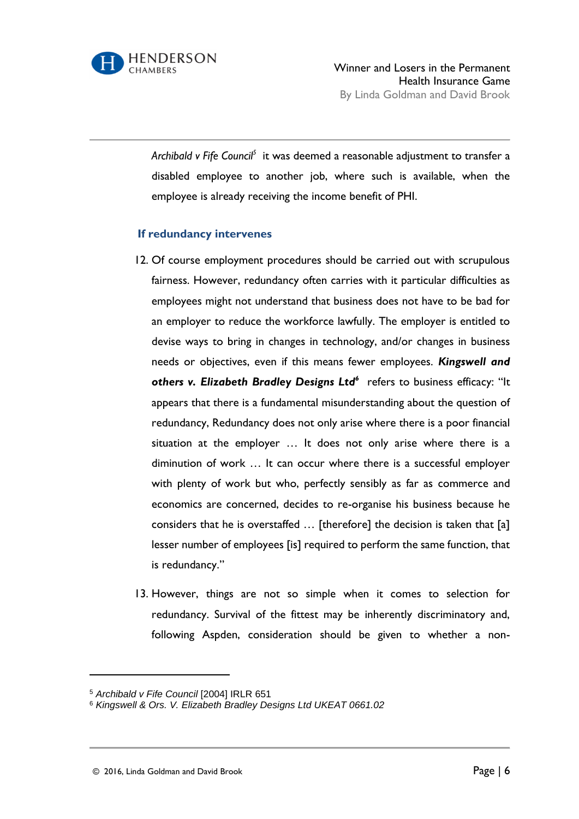

*Archibald v Fife Council<sup>5</sup>* it was deemed a reasonable adjustment to transfer a disabled employee to another job, where such is available, when the employee is already receiving the income benefit of PHI.

# **If redundancy intervenes**

- 12. Of course employment procedures should be carried out with scrupulous fairness. However, redundancy often carries with it particular difficulties as employees might not understand that business does not have to be bad for an employer to reduce the workforce lawfully. The employer is entitled to devise ways to bring in changes in technology, and/or changes in business needs or objectives, even if this means fewer employees. *Kingswell and others v. Elizabeth Bradley Designs Ltd<sup>6</sup>* refers to business efficacy: "It appears that there is a fundamental misunderstanding about the question of redundancy, Redundancy does not only arise where there is a poor financial situation at the employer … It does not only arise where there is a diminution of work … It can occur where there is a successful employer with plenty of work but who, perfectly sensibly as far as commerce and economics are concerned, decides to re-organise his business because he considers that he is overstaffed … [therefore] the decision is taken that [a] lesser number of employees [is] required to perform the same function, that is redundancy."
- 13. However, things are not so simple when it comes to selection for redundancy. Survival of the fittest may be inherently discriminatory and, following Aspden, consideration should be given to whether a non-

l

<sup>5</sup> *Archibald v Fife Council* [2004] IRLR 651

<sup>6</sup> *Kingswell & Ors. V. Elizabeth Bradley Designs Ltd UKEAT 0661.02*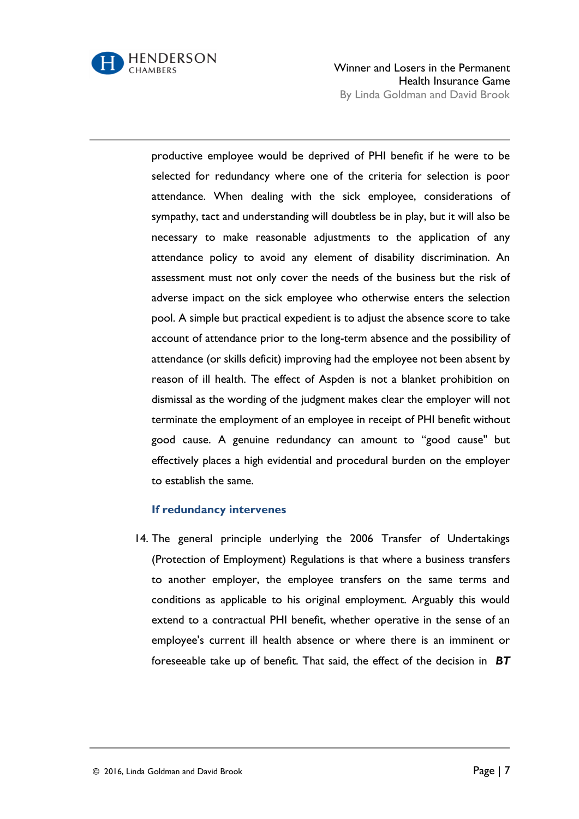

Winner and Losers in the Permanent Health Insurance Game By Linda Goldman and David Brook

productive employee would be deprived of PHI benefit if he were to be selected for redundancy where one of the criteria for selection is poor attendance. When dealing with the sick employee, considerations of sympathy, tact and understanding will doubtless be in play, but it will also be necessary to make reasonable adjustments to the application of any attendance policy to avoid any element of disability discrimination. An assessment must not only cover the needs of the business but the risk of adverse impact on the sick employee who otherwise enters the selection pool. A simple but practical expedient is to adjust the absence score to take account of attendance prior to the long-term absence and the possibility of attendance (or skills deficit) improving had the employee not been absent by reason of ill health. The effect of Aspden is not a blanket prohibition on dismissal as the wording of the judgment makes clear the employer will not terminate the employment of an employee in receipt of PHI benefit without good cause. A genuine redundancy can amount to "good cause" but effectively places a high evidential and procedural burden on the employer to establish the same.

# **If redundancy intervenes**

14. The general principle underlying the 2006 Transfer of Undertakings (Protection of Employment) Regulations is that where a business transfers to another employer, the employee transfers on the same terms and conditions as applicable to his original employment. Arguably this would extend to a contractual PHI benefit, whether operative in the sense of an employee's current ill health absence or where there is an imminent or foreseeable take up of benefit. That said, the effect of the decision in *BT*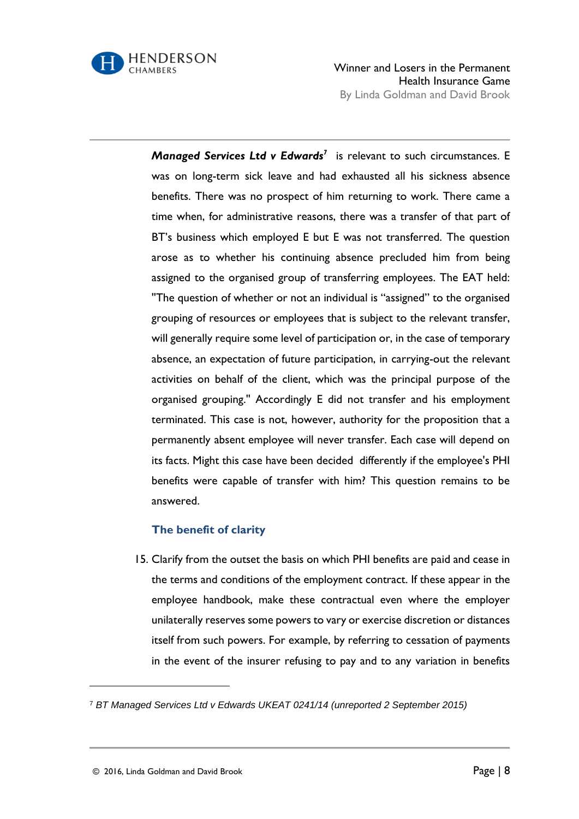

Winner and Losers in the Permanent Health Insurance Game By Linda Goldman and David Brook

*Managed Services Ltd v Edwards<sup>7</sup>* is relevant to such circumstances. E was on long-term sick leave and had exhausted all his sickness absence benefits. There was no prospect of him returning to work. There came a time when, for administrative reasons, there was a transfer of that part of BT's business which employed E but E was not transferred. The question arose as to whether his continuing absence precluded him from being assigned to the organised group of transferring employees. The EAT held: ''The question of whether or not an individual is "assigned" to the organised grouping of resources or employees that is subject to the relevant transfer, will generally require some level of participation or, in the case of temporary absence, an expectation of future participation, in carrying-out the relevant activities on behalf of the client, which was the principal purpose of the organised grouping.'' Accordingly E did not transfer and his employment terminated. This case is not, however, authority for the proposition that a permanently absent employee will never transfer. Each case will depend on its facts. Might this case have been decided differently if the employee's PHI benefits were capable of transfer with him? This question remains to be answered.

# **The benefit of clarity**

15. Clarify from the outset the basis on which PHI benefits are paid and cease in the terms and conditions of the employment contract. If these appear in the employee handbook, make these contractual even where the employer unilaterally reserves some powers to vary or exercise discretion or distances itself from such powers. For example, by referring to cessation of payments in the event of the insurer refusing to pay and to any variation in benefits

 $\overline{a}$ 

<sup>7</sup> *BT Managed Services Ltd v Edwards UKEAT 0241/14 (unreported 2 September 2015)*